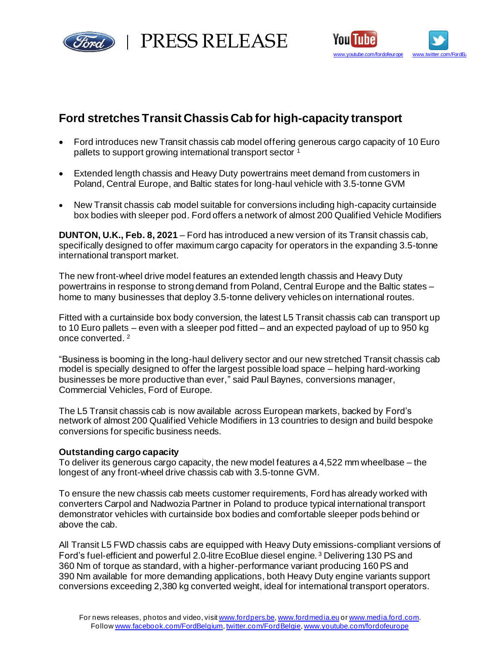

PRESS RELEASE



# **Ford stretches Transit Chassis Cab for high-capacity transport**

- Ford introduces new Transit chassis cab model offering generous cargo capacity of 10 Euro pallets to support growing international transport sector <sup>1</sup>
- Extended length chassis and Heavy Duty powertrains meet demand from customers in Poland, Central Europe, and Baltic states for long-haul vehicle with 3.5-tonne GVM
- New Transit chassis cab model suitable for conversions including high-capacity curtainside box bodies with sleeper pod. Ford offers a network of almost 200 Qualified Vehicle Modifiers

**DUNTON, U.K., Feb. 8, 2021** – Ford has introduced a new version of its Transit chassis cab, specifically designed to offer maximum cargo capacity for operators in the expanding 3.5-tonne international transport market.

The new front-wheel drive model features an extended length chassis and Heavy Duty powertrains in response to strong demand from Poland, Central Europe and the Baltic states – home to many businesses that deploy 3.5-tonne delivery vehicles on international routes.

Fitted with a curtainside box body conversion, the latest L5 Transit chassis cab can transport up to 10 Euro pallets – even with a sleeper pod fitted – and an expected payload of up to 950 kg once converted. 2

"Business is booming in the long-haul delivery sector and our new stretched Transit chassis cab model is specially designed to offer the largest possible load space – helping hard-working businesses be more productive than ever," said Paul Baynes, conversions manager, Commercial Vehicles, Ford of Europe.

The L5 Transit chassis cab is now available across European markets, backed by Ford's network of almost 200 Qualified Vehicle Modifiers in 13 countries to design and build bespoke conversions for specific business needs.

## **Outstanding cargo capacity**

To deliver its generous cargo capacity, the new model features a 4,522 mm wheelbase – the longest of any front-wheel drive chassis cab with 3.5-tonne GVM.

To ensure the new chassis cab meets customer requirements, Ford has already worked with converters Carpol and Nadwozia Partner in Poland to produce typical international transport demonstrator vehicles with curtainside box bodies and comfortable sleeper pods behind or above the cab.

All Transit L5 FWD chassis cabs are equipped with Heavy Duty emissions-compliant versions of Ford's fuel-efficient and powerful 2.0-litre EcoBlue diesel engine. <sup>3</sup> Delivering 130 PS and 360 Nm of torque as standard, with a higher-performance variant producing 160PS and 390 Nm available for more demanding applications, both Heavy Duty engine variants support conversions exceeding 2,380 kg converted weight, ideal for international transport operators.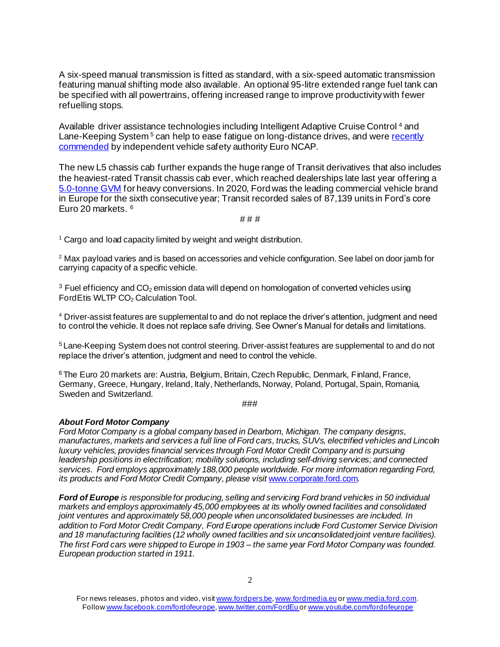A six-speed manual transmission is fitted as standard, with a six-speed automatic transmission featuring manual shifting mode also available. An optional 95-litre extended range fuel tank can be specified with all powertrains, offering increased range to improve productivity with fewer refuelling stops.

Available driver assistance technologies including Intelligent Adaptive Cruise Control <sup>4</sup> and Lane-Keeping System<sup>5</sup> can help to ease fatigue on long-distance drives, and were recently [commended](https://media.ford.com/content/fordmedia/feu/gb/en/news/2020/12/16/ford-transit-and-transit-custom-both-excel-in-euro-ncaps-first-e.html) by independent vehicle safety authority Euro NCAP.

The new L5 chassis cab further expands the huge range of Transit derivatives that also includes the heaviest-rated Transit chassis cab ever, which reached dealerships late last year offering a [5.0-tonne GVM](https://media.ford.com/content/fordmedia/feu/en/news/2020/09/30/ford-announces-its-strongest--most-capable-van-ever--a-5-0-tonne.html) for heavy conversions. In 2020, Ford was the leading commercial vehicle brand in Europe for the sixth consecutive year; Transit recorded sales of 87,139 units in Ford's core Euro 20 markets. 6

# # #

 $1$  Cargo and load capacity limited by weight and weight distribution.

 $2$  Max payload varies and is based on accessories and vehicle configuration. See label on door jamb for carrying capacity of a specific vehicle.

 $3$  Fuel efficiency and CO<sub>2</sub> emission data will depend on homologation of converted vehicles using FordEtis WLTP CO<sub>2</sub> Calculation Tool.

<sup>4</sup> Driver-assist features are supplemental to and do not replace the driver's attention, judgment and need to control the vehicle. It does not replace safe driving. See Owner's Manual for details and limitations.

<sup>5</sup>Lane-Keeping System does not control steering. Driver-assist features are supplemental to and do not replace the driver's attention, judgment and need to control the vehicle.

<sup>6</sup>The Euro 20 markets are: Austria, Belgium, Britain, Czech Republic, Denmark, Finland, France, Germany, Greece, Hungary, Ireland, Italy, Netherlands, Norway, Poland, Portugal, Spain, Romania, Sweden and Switzerland.

###

#### *About Ford Motor Company*

*Ford Motor Company is a global company based in Dearborn, Michigan. The company designs, manufactures, markets and services a full line of Ford cars, trucks, SUVs, electrified vehicles and Lincoln luxury vehicles, provides financial services through Ford Motor Credit Company and is pursuing leadership positions in electrification; mobility solutions, including self-driving services; and connected services. Ford employs approximately 188,000 people worldwide. For more information regarding Ford, its products and Ford Motor Credit Company, please visit* [www.corporate.ford.com](http://www.corporate.ford.com/)*.* 

*Ford of Europe is responsible for producing, selling and servicing Ford brand vehicles in 50 individual markets and employs approximately 45,000 employees at its wholly owned facilities and consolidated joint ventures and approximately 58,000 people when unconsolidated businesses are included. In addition to Ford Motor Credit Company, Ford Europe operations include Ford Customer Service Division and 18 manufacturing facilities (12 wholly owned facilities and six unconsolidated joint venture facilities). The first Ford cars were shipped to Europe in 1903 – the same year Ford Motor Company was founded. European production started in 1911.* 

For news releases, photos and video, visi[t www.fordpers.be,](http://www.fordpers.be/) [www.fordmedia.eu](http://www.fordmedia.eu/) or [www.media.ford.com.](http://www.media.ford.com/) Follo[w www.facebook.com/fordofeurope](http://www.facebook.com/fordofeurope)[, www.twitter.com/FordEu](http://www.twitter.com/FordEu) o[r www.youtube.com/fordofeurope](http://www.youtube.com/fordofeurope)